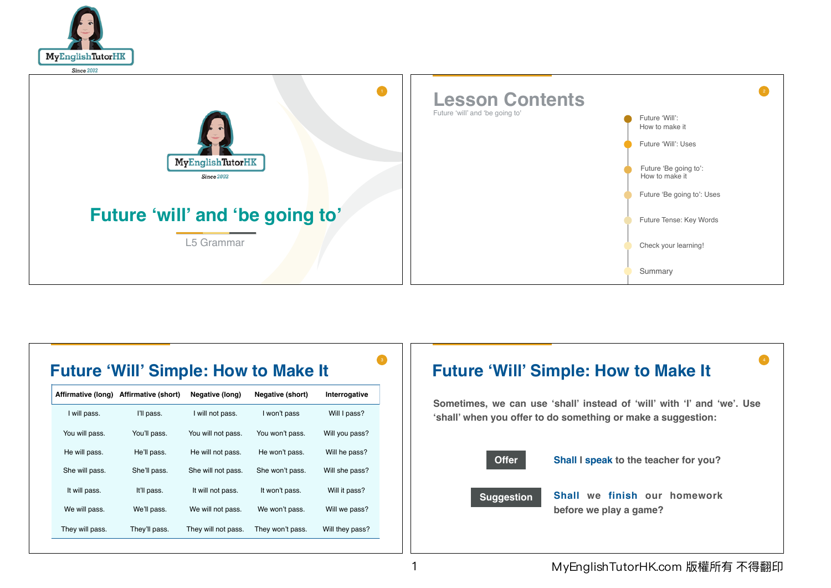



## **Future 'Will' Simple: How to Make It**

|                 | Affirmative (long) Affirmative (short) | Negative (long)                       | Negative (short) | Interrogative   |
|-----------------|----------------------------------------|---------------------------------------|------------------|-----------------|
| I will pass.    | I'll pass.                             | I will not pass.                      | I won't pass     | Will I pass?    |
| You will pass.  | You'll pass.                           | You won't pass.<br>You will not pass. |                  | Will you pass?  |
| He will pass.   | He'll pass.                            | He will not pass.                     | He won't pass.   | Will he pass?   |
| She will pass.  | She'll pass.                           | She will not pass.                    | She won't pass.  | Will she pass?  |
| It will pass.   | It'll pass.                            | It will not pass.                     | It won't pass.   | Will it pass?   |
| We will pass.   | We'll pass.                            | We will not pass.                     | We won't pass.   | Will we pass?   |
| They will pass. | They'll pass.                          | They will not pass.                   | They won't pass. | Will they pass? |

# **Future 'Will' Simple: How to Make It**

Sometimes, we can use 'shall' instead of 'will' with 'I' and 'we'. Use 'shall' when you offer to do something or make a suggestion:



Shall I speak to the teacher for you?

### **Suggestion**

Shall we finish our homework before we play a game?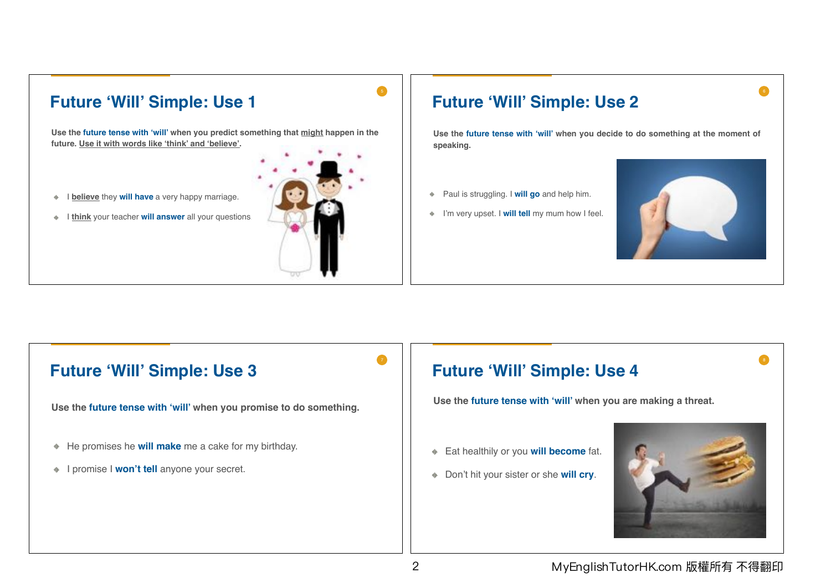# **Future 'Will' Simple: Use 1** Use the future tense with 'will' when you predict something that might happen in the future. Use it with words like 'think' and 'believe'. I believe they will have a very happy marriage.  $\Phi$ I think your teacher will answer all your questions.

#### **Future 'Will' Simple: Use 2**

Use the future tense with 'will' when you decide to do something at the moment of speaking.

- ♦ Paul is struggling. I will go and help him.
- ♦ I'm very upset. I will tell my mum how I feel.



#### **Future 'Will' Simple: Use 3**

Use the future tense with 'will' when you promise to do something.

- He promises he will make me a cake for my birthday.
- I promise I won't tell anyone your secret.

#### **Future 'Will' Simple: Use 4**

Use the future tense with 'will' when you are making a threat.

- Eat healthily or you will become fat.
- Don't hit your sister or she will cry.



#### MyEnglishTutorHK.com 版權所有 不得翻印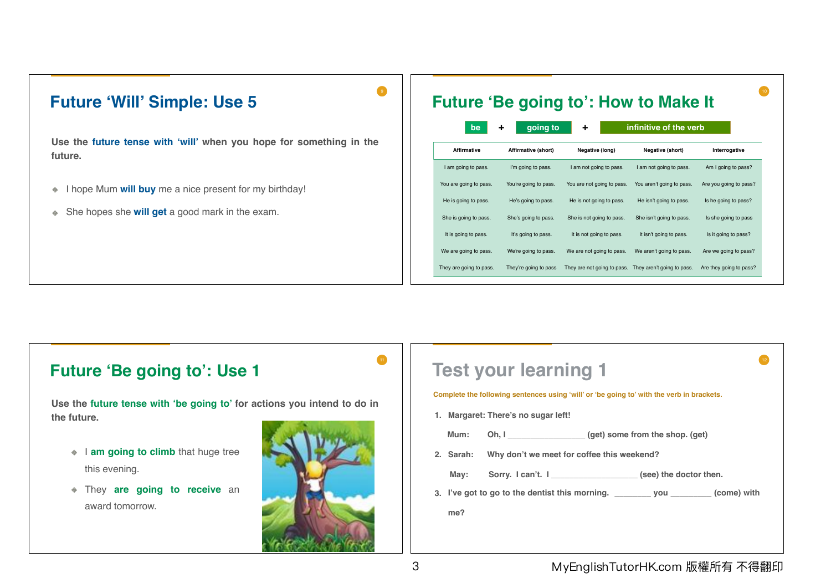

| <b>Future 'Be going to': How to Make It</b>        |                       |                             |                            |                         |  |  |
|----------------------------------------------------|-----------------------|-----------------------------|----------------------------|-------------------------|--|--|
| going to<br>infinitive of the verb<br>٠<br>÷<br>be |                       |                             |                            |                         |  |  |
| <b>Affirmative</b>                                 | Affirmative (short)   | Negative (long)             | Negative (short)           | Interrogative           |  |  |
| I am going to pass.                                | I'm going to pass.    | I am not going to pass.     | I am not going to pass.    | Am I going to pass?     |  |  |
| You are going to pass.                             | You're going to pass. | You are not going to pass.  | You aren't going to pass.  | Are you going to pass?  |  |  |
| He is going to pass.                               | He's going to pass.   | He is not going to pass.    | He isn't going to pass.    | Is he going to pass?    |  |  |
| She is going to pass.                              | She's going to pass.  | She is not going to pass.   | She isn't going to pass.   | Is she going to pass    |  |  |
| It is going to pass.                               | It's going to pass.   | It is not going to pass.    | It isn't going to pass.    | Is it going to pass?    |  |  |
| We are going to pass.                              | We're going to pass.  | We are not going to pass.   | We aren't going to pass.   | Are we going to pass?   |  |  |
| They are going to pass.                            | They're going to pass | They are not going to pass. | They aren't going to pass. | Are they going to pass? |  |  |

#### **Future 'Be going to': Use 1**

**Use the future tense with 'be going to' for actions you intend to do in the future.**

- $\bullet$  **I am going to climb** that huge tree this evening.
- They **are going to receive** an award tomorrow.



| <b>Test your learning 1</b>                                                               |                                                                                              |  |  |  |  |
|-------------------------------------------------------------------------------------------|----------------------------------------------------------------------------------------------|--|--|--|--|
| Complete the following sentences using 'will' or 'be going to' with the verb in brackets. |                                                                                              |  |  |  |  |
| 1. Margaret: There's no sugar left!                                                       |                                                                                              |  |  |  |  |
| Mum:                                                                                      | Oh, I (get) some from the shop. (get)                                                        |  |  |  |  |
|                                                                                           | 2. Sarah: Why don't we meet for coffee this weekend?                                         |  |  |  |  |
| Mav:                                                                                      | Sorry. I can't. I ______________________(see) the doctor then.                               |  |  |  |  |
|                                                                                           | 3. I've got to go to the dentist this morning. __________________________________(come) with |  |  |  |  |
| me?                                                                                       |                                                                                              |  |  |  |  |
|                                                                                           |                                                                                              |  |  |  |  |